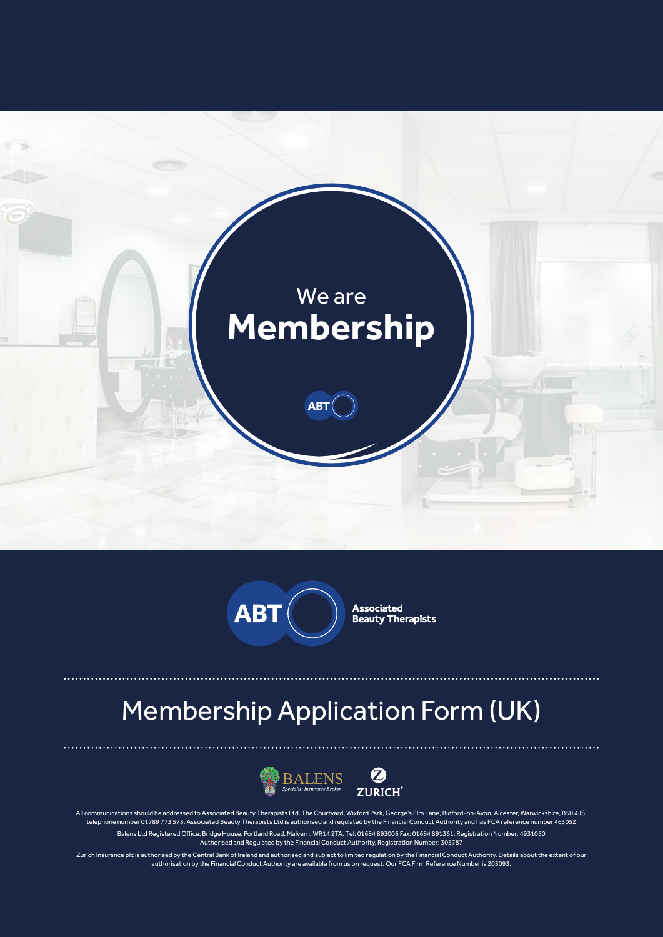



**Associated<br>Beauty Therapists** 

# Membership Application Form (UK)



All communications should be addressed to Associated Beauty Therapists Ltd. The Courtyard, Wixford Park, George's Elm Lane, Bidford-on-Avon, Alcester, Warwickshire, B50 4JS, telephone number 01789 773 573. Associated Beauty Therapists Ltd is authorised and regulated by the Financial Conduct Authority and has FCA reference number 463052 Balens Ltd Registered Office: Bridge House, Portland Road, Malvern, WR14 2TA. Tel: 01684 893006 Fax: 01684 891361. Registration Number: 4931050 Authorised and Regulated by the Financial Conduct Authority, Registration Number: 305787

Zurich Insurance plc is authorised by the Central Bank of Ireland and authorised and subject to limited regulation by the Financial Conduct Authority. Details about the extent of our authorisation by the Financial Conduct Authority are available from us on request. Our FCA Firm Reference Number is 203093.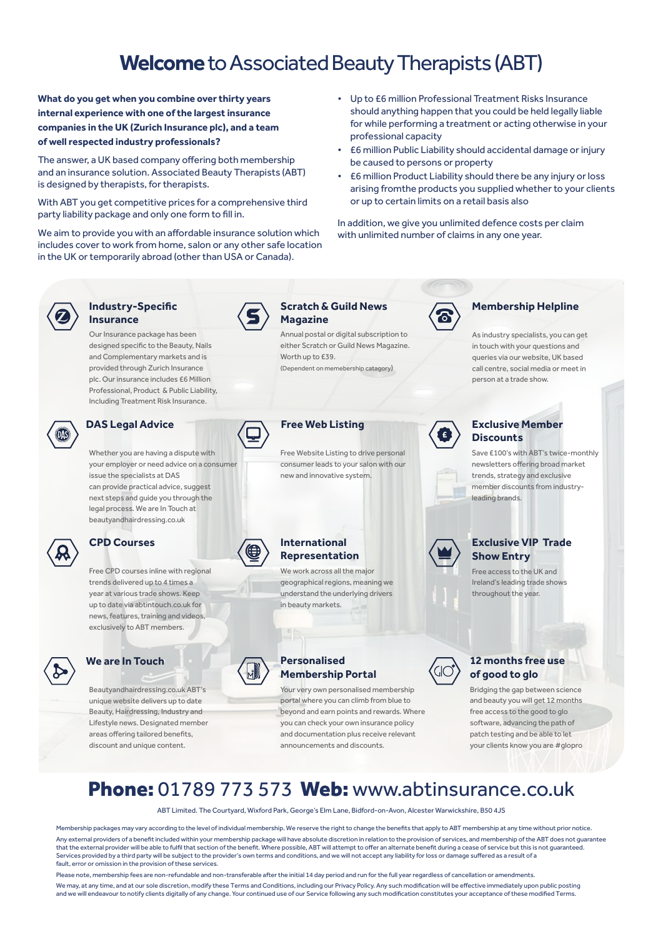# **Welcome** to Associated Beauty Therapists (ABT)

**What do you get when you combine over thirty years internal experience with one of the largest insurance companies in the UK (Zurich Insurance plc), and a team of well respected industry professionals?**

The answer, a UK based company offering both membership and an insurance solution. Associated Beauty Therapists (ABT) is designed by therapists, for therapists.

With ABT you get competitive prices for a comprehensive third party liability package and only one form to fill in.

We aim to provide you with an affordable insurance solution which includes cover to work from home, salon or any other safe location in the UK or temporarily abroad (other than USA or Canada).

- Up to £6 million Professional Treatment Risks Insurance should anything happen that you could be held legally liable for while performing a treatment or acting otherwise in your professional capacity
- £6 million Public Liability should accidental damage or injury be caused to persons or property
- £6 million Product Liability should there be any injury or loss arising fromthe products you supplied whether to your clients or up to certain limits on a retail basis also

In addition, we give you unlimited defence costs per claim with unlimited number of claims in any one year.



#### **Industry-Specific Insurance**

Our Insurance package has been designed specific to the Beauty, Nails and Complementary markets and is provided through Zurich Insurance plc. Our insurance includes £6 Million Professional, Product & Public Liability, Including Treatment Risk Insurance.



#### **DAS Legal Advice**

Whether you are having a dispute with your employer or need advice on a consumer issue the specialists at DAS can provide practical advice, suggest next steps and guide you through the legal process. We are In Touch at beautyandhairdressing.co.uk

Free CPD courses inline with regional trends delivered up to 4 times a year at various trade shows. Keep up to date via abtintouch.co.uk for news, features, training and videos, exclusively to ABT members.

Beautyandhairdressing.co.uk ABT's unique website delivers up to date Beauty, Hairdressing, Industry and

Lifestyle news. Designated member areas offering tailored benefits, discount and unique content.



#### **Scratch & Guild News Magazine**

Annual postal or digital subscription to either Scratch or Guild News Magazine. Worth up to £39. (Dependent on memebership catagory)



### **Free Web Listing**

Free Website Listing to drive personal consumer leads to your salon with our new and innovative system.

#### **CPD Courses International Representation**

We work across all the major geographical regions, meaning we understand the underlying drivers in beauty markets.

#### **We are In Touch Personalised Membership Portal**

Your very own personalised membership portal where you can climb from blue to beyond and earn points and rewards. Where you can check your own insurance policy and documentation plus receive relevant announcements and discounts.



#### **Membership Helpline**

As industry specialists, you can get in touch with your questions and queries via our website, UK based call centre, social media or meet in person at a trade show.



#### **Exclusive Member Discounts**

Save £100's with ABT's twice-monthly newsletters offering broad market trends, strategy and exclusive member discounts from industryleading brands.



#### **Exclusive VIP Trade Show Entry**

Free access to the UK and Ireland's leading trade shows throughout the year.



#### **12 months free use of good to glo**

Bridging the gap between science and beauty you will get 12 months free access to the good to glo software, advancing the path of patch testing and be able to let your clients know you are #glopro

# Phone: 01789 773 573 Web: www.abtinsurance.co.uk

ABT Limited. The Courtyard, Wixford Park, George's Elm Lane, Bidford-on-Avon, Alcester Warwickshire, B50 4JS

Membership packages may vary according to the level of individual membership. We reserve the right to change the benefits that apply to ABT membership at any time without prior notice. Any external providers of a benefit included within your membership package will have absolute discretion in relation to the provision of services, and membership of the ABT does not guarantee that the external provider will be able to fulfil that section of the benefit. Where possible, ABT will attempt to offer an alternate benefit during a cease of service but this is not guaranteed. Services provided by a third party will be subject to the provider's own terms and conditions, and we will not accept any liability for loss or damage suffered as a result of a fault, error or omission in the provision of these services.

.<br>Ise note, membership fees are non-refundable and non-transferable after the initial 14 day period and run for the full year regardless of cancellation or amendments. We may, at any time, and at our sole discretion, modify these Terms and Conditions, including our Privacy Policy. Any such modification will be effective immediately upon public posting and we will endeavour to notify clients digitally of any change. Your continued use of our Service following any such modification constitutes your acceptance of these modified Terms.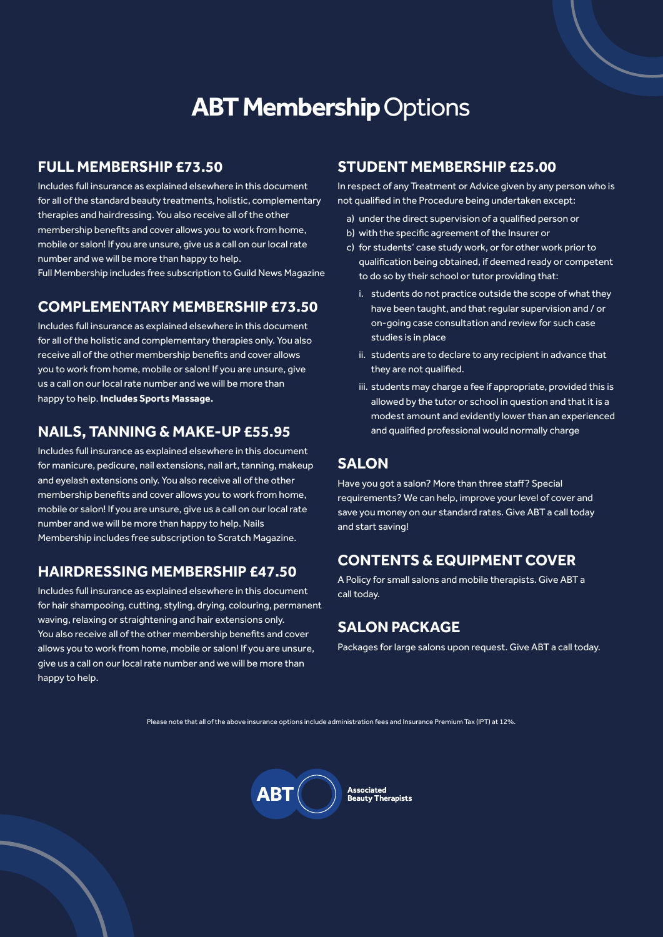# **ABT Membership Options**

### **FULL MEMBERSHIP £73.50**

Includes full insurance as explained elsewhere in this document for all of the standard beauty treatments, holistic, complementary therapies and hairdressing. You also receive all of the other membership benefits and cover allows you to work from home, mobile or salon! If you are unsure, give us a call on our local rate number and we will be more than happy to help.

Full Membership includes free subscription to Guild News Magazine

## **COMPLEMENTARY MEMBERSHIP £73.50**

Includes full insurance as explained elsewhere in this document for all of the holistic and complementary therapies only. You also receive all of the other membership benefits and cover allows you to work from home, mobile or salon! If you are unsure, give us a call on our local rate number and we will be more than happy to help. **Includes Sports Massage.**

### **NAILS, TANNING & MAKE-UP £55.95**

Includes full insurance as explained elsewhere in this document for manicure, pedicure, nail extensions, nail art, tanning, makeup and eyelash extensions only. You also receive all of the other membership benefits and cover allows you to work from home, mobile or salon! If you are unsure, give us a call on our local rate number and we will be more than happy to help. Nails Membership includes free subscription to Scratch Magazine.

### **HAIRDRESSING MEMBERSHIP £47.50**

Includes full insurance as explained elsewhere in this document for hair shampooing, cutting, styling, drying, colouring, permanent waving, relaxing or straightening and hair extensions only. You also receive all of the other membership benefits and cover allows you to work from home, mobile or salon! If you are unsure, give us a call on our local rate number and we will be more than happy to help.

### **STUDENT MEMBERSHIP £25.00**

In respect of any Treatment or Advice given by any person who is not qualified in the Procedure being undertaken except:

- a) under the direct supervision of a qualified person or
- b) with the specific agreement of the Insurer or
- c) for students' case study work, or for other work prior to qualification being obtained, if deemed ready or competent to do so by their school or tutor providing that:
	- i. students do not practice outside the scope of what they have been taught, and that regular supervision and / or on-going case consultation and review for such case studies is in place
	- ii. students are to declare to any recipient in advance that they are not qualified.
	- iii. students may charge a fee if appropriate, provided this is allowed by the tutor or school in question and that it is a modest amount and evidently lower than an experienced and qualified professional would normally charge

### **SALON**

Have you got a salon? More than three staff? Special requirements? We can help, improve your level of cover and save you money on our standard rates. Give ABT a call today and start saving!

## **CONTENTS & EQUIPMENT COVER**

A Policy for small salons and mobile therapists. Give ABT a call today.

### **SALON PACKAGE**

Packages for large salons upon request. Give ABT a call today.

Please note that all of the above insurance options include administration fees and Insurance Premium Tax (IPT) at 12%.



Associated -----------<br>Beauty Therapists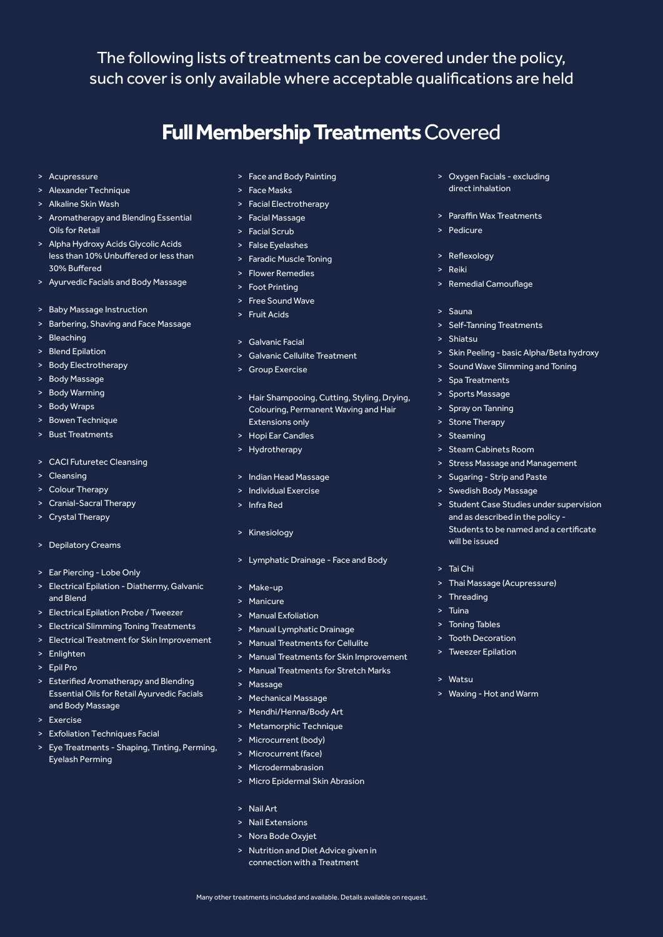The following lists of treatments can be covered under the policy, such cover is only available where acceptable qualifications are held

# **Full Membership Treatments** Covered

- > Acupressure
- > Alexander Technique
- > Alkaline Skin Wash
- > Aromatherapy and Blending Essential Oils for Retail
- > Alpha Hydroxy Acids Glycolic Acids less than 10% Unbuffered or less than 30% Buffered
- > Ayurvedic Facials and Body Massage
- > Baby Massage Instruction
- > Barbering, Shaving and Face Massage
- > Bleaching
- > Blend Epilation
- > Body Electrotherapy
- > Body Massage
- > Body Warming
- > Body Wraps
- > Bowen Technique
- > Bust Treatments
- > CACI Futuretec Cleansing
- > Cleansing
- > Colour Therapy
- > Cranial-Sacral Therapy
- > Crystal Therapy
- > Depilatory Creams
- > Ear Piercing Lobe Only
- > Electrical Epilation Diathermy, Galvanic and Blend
- > Electrical Epilation Probe / Tweezer
- > Electrical Slimming Toning Treatments
- > Electrical Treatment for Skin Improvement
- > Enlighten
- > Epil Pro
- > Esterified Aromatherapy and Blending Essential Oils for Retail Ayurvedic Facials and Body Massage
- > Exercise
- > Exfoliation Techniques Facial
- > Eye Treatments Shaping, Tinting, Perming, Eyelash Perming
- > Face and Body Painting
- > Face Masks
- > Facial Electrotherapy
- > Facial Massage
- > Facial Scrub
- > False Eyelashes
- > Faradic Muscle Toning
- > Flower Remedies
- > Foot Printing
- > Free Sound Wave > Fruit Acids
- 
- > Galvanic Facial
- > Galvanic Cellulite Treatment
- > Group Exercise
- > Hair Shampooing, Cutting, Styling, Drying, Colouring, Permanent Waving and Hair Extensions only
- > Hopi Ear Candles
- > Hydrotherapy
- > Indian Head Massage
- > Individual Exercise
- > Infra Red
- > Kinesiology
- > Lymphatic Drainage Face and Body
- > Make-up
- > Manicure
- > Manual Exfoliation
- > Manual Lymphatic Drainage
- > Manual Treatments for Cellulite
- > Manual Treatments for Skin Improvement
- > Manual Treatments for Stretch Marks
- > Massage
- > Mechanical Massage
- > Mendhi/Henna/Body Art
- > Metamorphic Technique
- > Microcurrent (body)
- > Microcurrent (face)
- > Microdermabrasion
- > Micro Epidermal Skin Abrasion
- > Nail Art
- > Nail Extensions
- > Nora Bode Oxyjet
- > Nutrition and Diet Advice given in connection with a Treatment

Many other treatments included and available. Details available on request.

- > Oxygen Facials excluding direct inhalation
- > Paraffin Wax Treatments
- $\sum_{n=1}^{\infty} P_n \cdot \text{diam}(n)$
- > Reflexology
- > Reiki
- > Remedial Camouflage
- > Sauna
- > Self-Tanning Treatments
- > Shiatsu
- > Skin Peeling basic Alpha/Beta hydroxy
- > Sound Wave Slimming and Toning
- > Spa Treatments
- > Sports Massage
- > Spray on Tanning
- > Stone Therapy
- > Steaming
- > Steam Cabinets Room
- > Stress Massage and Management
- > Sugaring Strip and Paste
- > Swedish Body Massage
- > Student Case Studies under supervision and as described in the policy - Students to be named and a certificate will be issued
- > Tai Chi

 $\sim$  Watcu

> Thai Massage (Acupressure)

> Waxing - Hot and Warm

> Threading > Tuina

> Toning Tables > Tooth Decoration > Tweezer Epilation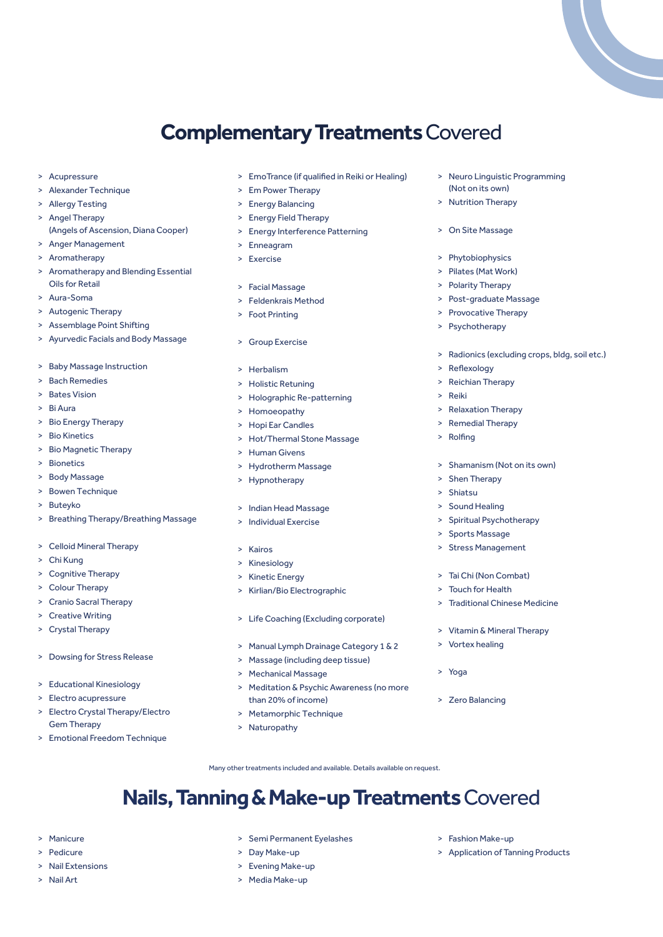# **Complementary Treatments** Covered

- > Acupressure
- > Alexander Technique
- > Allergy Testing
- > Angel Therapy (Angels of Ascension, Diana Cooper)
- > Anger Management
- > Aromatherapy
- > Aromatherapy and Blending Essential Oils for Retail
- > Aura-Soma
- > Autogenic Therapy
- > Assemblage Point Shifting
- > Ayurvedic Facials and Body Massage
- > Baby Massage Instruction
- > Bach Remedies
- > Bates Vision
- > Bi Aura
- > Bio Energy Therapy
- > Bio Kinetics
- > Bio Magnetic Therapy
- > Bionetics
- > Body Massage
- > Bowen Technique
- > Buteyko
- > Breathing Therapy/Breathing Massage
- > Celloid Mineral Therapy
- > Chi Kung
- > Cognitive Therapy
- > Colour Therapy
- > Cranio Sacral Therapy
- > Creative Writing
- > Crystal Therapy
- > Dowsing for Stress Release
- > Educational Kinesiology
- > Electro acupressure

> Manicure > Pedicure > Nail Extensions > Nail Art

- > Electro Crystal Therapy/Electro Gem Therapy
- > Emotional Freedom Technique
- > EmoTrance (if qualified in Reiki or Healing)
- > Em Power Therapy
- > Energy Balancing
- > Energy Field Therapy
- > Energy Interference Patterning
- > Enneagram
- > Exercise
- > Facial Massage
- > Feldenkrais Method
- > Foot Printing
- > Group Exercise
- > Herbalism
- > Holistic Retuning
- > Holographic Re-patterning
- > Homoeopathy
- > Hopi Ear Candles
- > Hot/Thermal Stone Massage
- > Human Givens
- > Hydrotherm Massage
- > Hypnotherapy
- > Indian Head Massage
- > Individual Exercise
- > Kairos
- > Kinesiology
- > Kinetic Energy
- > Kirlian/Bio Electrographic
- > Life Coaching (Excluding corporate)
- > Manual Lymph Drainage Category 1 & 2
- > Massage (including deep tissue)
- > Mechanical Massage
- > Meditation & Psychic Awareness (no more than 20% of income)
- > Metamorphic Technique

> Semi Permanent Eyelashes

> Naturopathy

> Day Make-up > Evening Make-up > Media Make-up

- > Neuro Linguistic Programming (Not on its own)
- > Nutrition Therapy
- > On Site Massage
- > Phytobiophysics
- > Pilates (Mat Work)
- > Polarity Therapy
- > Post-graduate Massage
- > Provocative Therapy
- > Psychotherapy
- > Radionics (excluding crops, bldg, soil etc.)
- > Reflexology
- > Reichian Therapy
- > Reiki
- > Relaxation Therapy
- > Remedial Therapy
- > Rolfing
- > Shamanism (Not on its own)
- > Shen Therapy
- > Shiatsu
- > Sound Healing
- > Spiritual Psychotherapy
- > Sports Massage
- > Stress Management
- > Tai Chi (Non Combat)
- > Touch for Health
- > Traditional Chinese Medicine
- > Vitamin & Mineral Therapy
- > Vortex healing
- > Yoga
- > Zero Balancing

> Fashion Make-up

> Application of Tanning Products

Many other treatments included and available. Details available on request.

**Nails, Tanning & Make-up Treatments** Covered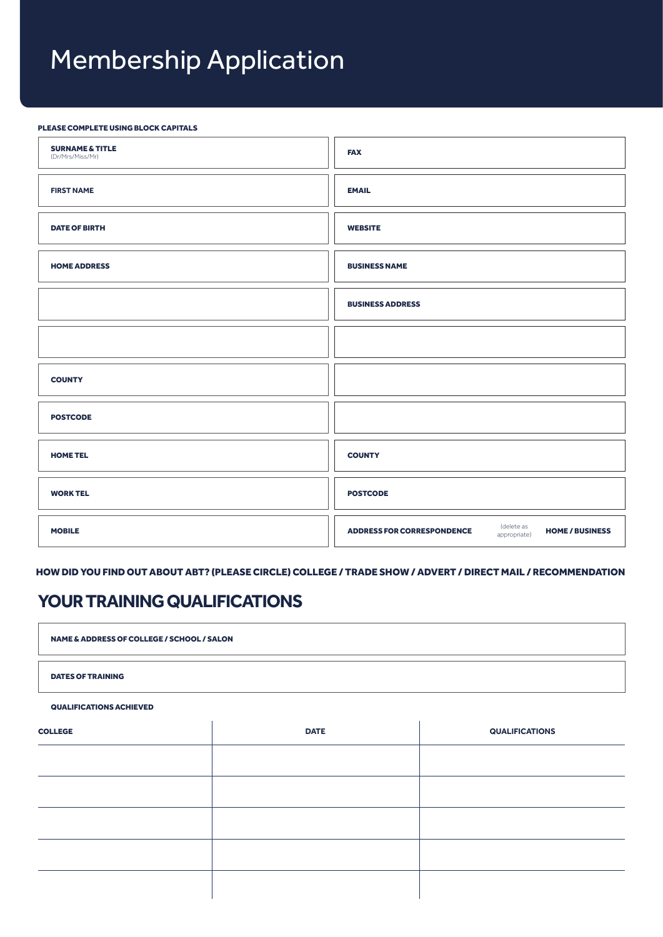# Membership Application

#### PLEASE COMPLETE USING BLOCK CAPITALS

| <b>SURNAME &amp; TITLE</b><br>(Dr/Mrs/Miss/Mr) | <b>FAX</b>                                                                                |
|------------------------------------------------|-------------------------------------------------------------------------------------------|
| <b>FIRST NAME</b>                              | <b>EMAIL</b>                                                                              |
| <b>DATE OF BIRTH</b>                           | <b>WEBSITE</b>                                                                            |
| <b>HOME ADDRESS</b>                            | <b>BUSINESS NAME</b>                                                                      |
|                                                | <b>BUSINESS ADDRESS</b>                                                                   |
|                                                |                                                                                           |
| <b>COUNTY</b>                                  |                                                                                           |
| <b>POSTCODE</b>                                |                                                                                           |
| <b>HOME TEL</b>                                | <b>COUNTY</b>                                                                             |
| <b>WORK TEL</b>                                | <b>POSTCODE</b>                                                                           |
| <b>MOBILE</b>                                  | (delete as<br>appropriate)<br><b>ADDRESS FOR CORRESPONDENCE</b><br><b>HOME / BUSINESS</b> |

HOW DID YOU FIND OUT ABOUT ABT? (PLEASE CIRCLE) COLLEGE / TRADE SHOW / ADVERT / DIRECT MAIL / RECOMMENDATION

# **YOUR TRAINING QUALIFICATIONS**

NAME & ADDRESS OF COLLEGE / SCHOOL / SALON DATES OF TRAINING

QUALIFICATIONS ACHIEVED

| <b>COLLEGE</b> | <b>DATE</b> | <b>QUALIFICATIONS</b> |
|----------------|-------------|-----------------------|
|                |             |                       |
|                |             |                       |
|                |             |                       |
|                |             |                       |
|                |             |                       |
|                |             |                       |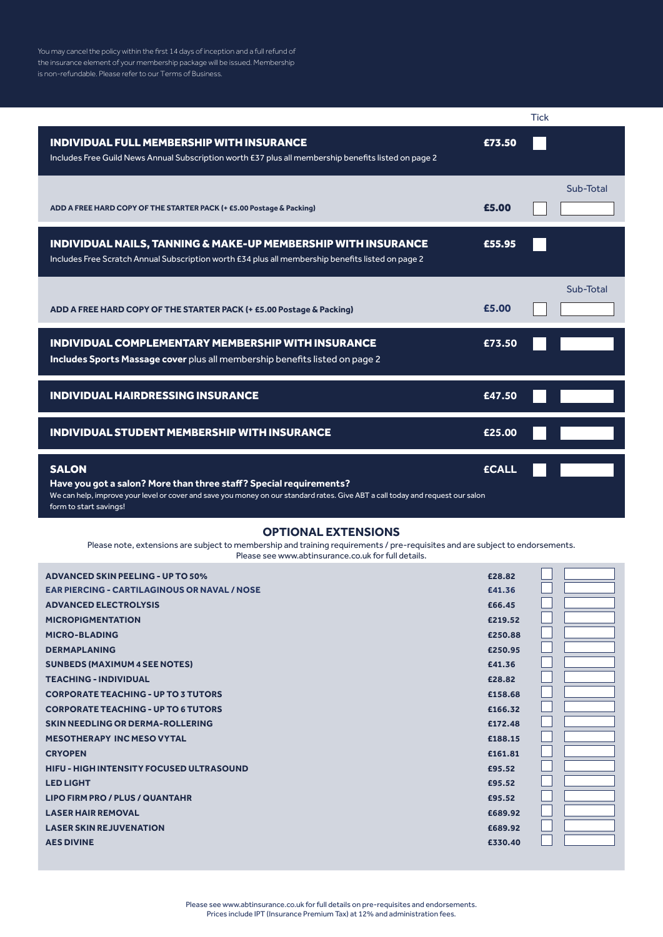You may cancel the policy within the first 14 days of inception and a full refund of the insurance element of your membership package will be issued. Membership is non-refundable. Please refer to our Terms of Business.

|                                                                                                                                                                                                                                                |              | <b>Tick</b> |           |
|------------------------------------------------------------------------------------------------------------------------------------------------------------------------------------------------------------------------------------------------|--------------|-------------|-----------|
| <b>INDIVIDUAL FULL MEMBERSHIP WITH INSURANCE</b><br>Includes Free Guild News Annual Subscription worth £37 plus all membership benefits listed on page 2                                                                                       | £73.50       |             |           |
| ADD A FREE HARD COPY OF THE STARTER PACK (+ £5.00 Postage & Packing)                                                                                                                                                                           | £5.00        |             | Sub-Total |
| INDIVIDUAL NAILS, TANNING & MAKE-UP MEMBERSHIP WITH INSURANCE<br>Includes Free Scratch Annual Subscription worth £34 plus all membership benefits listed on page 2                                                                             | £55.95       |             |           |
| ADD A FREE HARD COPY OF THE STARTER PACK (+ £5.00 Postage & Packing)                                                                                                                                                                           | £5.00        |             | Sub-Total |
| <b>INDIVIDUAL COMPLEMENTARY MEMBERSHIP WITH INSURANCE</b><br>Includes Sports Massage cover plus all membership benefits listed on page 2                                                                                                       | £73.50       |             |           |
| <b>INDIVIDUAL HAIRDRESSING INSURANCE</b>                                                                                                                                                                                                       | £47.50       |             |           |
| <b>INDIVIDUAL STUDENT MEMBERSHIP WITH INSURANCE</b>                                                                                                                                                                                            | £25.00       |             |           |
| <b>SALON</b><br>Have you got a salon? More than three staff? Special requirements?<br>We can help, improve your level or cover and save you money on our standard rates. Give ABT a call today and request our salon<br>form to start savings! | <b>ECALL</b> |             |           |

#### **OPTIONAL EXTENSIONS**

Please note, extensions are subject to membership and training requirements / pre-requisites and are subject to endorsements. Please see www.abtinsurance.co.uk for full details.

| <b>ADVANCED SKIN PEELING - UP TO 50%</b>            | £28.82  |  |
|-----------------------------------------------------|---------|--|
| <b>EAR PIERCING - CARTILAGINOUS OR NAVAL / NOSE</b> | £41.36  |  |
| <b>ADVANCED ELECTROLYSIS</b>                        | £66.45  |  |
| <b>MICROPIGMENTATION</b>                            | £219.52 |  |
| <b>MICRO-BLADING</b>                                | £250.88 |  |
| <b>DERMAPLANING</b>                                 | £250.95 |  |
| <b>SUNBEDS (MAXIMUM 4 SEE NOTES)</b>                | £41.36  |  |
| <b>TEACHING - INDIVIDUAL</b>                        | £28.82  |  |
| <b>CORPORATE TEACHING - UP TO 3 TUTORS</b>          | £158.68 |  |
| <b>CORPORATE TEACHING - UP TO 6 TUTORS</b>          | £166.32 |  |
| SKIN NEEDLING OR DERMA-ROLLERING                    | £172.48 |  |
| <b>MESOTHERAPY INC MESO VYTAL</b>                   | £188.15 |  |
| <b>CRYOPEN</b>                                      | £161.81 |  |
| <b>HIFU - HIGH INTENSITY FOCUSED ULTRASOUND</b>     | £95.52  |  |
| <b>LED LIGHT</b>                                    | £95.52  |  |
| <b>LIPO FIRM PRO / PLUS / QUANTAHR</b>              | £95.52  |  |
| <b>LASER HAIR REMOVAL</b>                           | £689.92 |  |
| <b>LASER SKIN REJUVENATION</b>                      | £689.92 |  |
| <b>AES DIVINE</b>                                   | £330.40 |  |
|                                                     |         |  |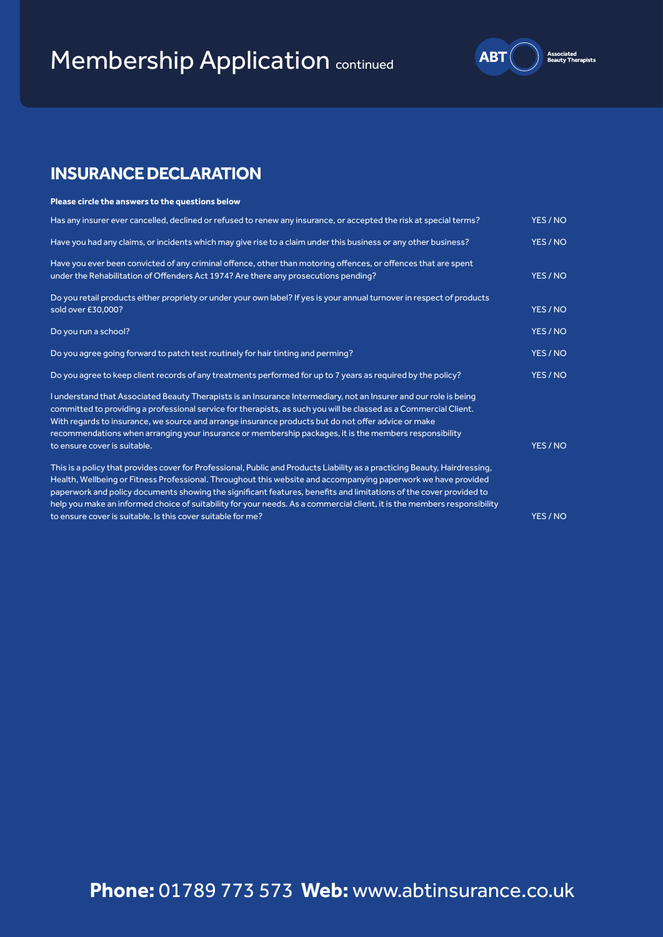# **Membership Application continued**



# **INSURANCE DECLARATION**

#### **Please circle the answers to the questions below**

| Has any insurer ever cancelled, declined or refused to renew any insurance, or accepted the risk at special terms?                                                                                            | YES / NO |
|---------------------------------------------------------------------------------------------------------------------------------------------------------------------------------------------------------------|----------|
| Have you had any claims, or incidents which may give rise to a claim under this business or any other business?                                                                                               | YES / NO |
| Have you ever been convicted of any criminal offence, other than motoring offences, or offences that are spent                                                                                                |          |
| under the Rehabilitation of Offenders Act 1974? Are there any prosecutions pending?                                                                                                                           | YES / NO |
| Do you retail products either propriety or under your own label? If yes is your annual turnover in respect of products                                                                                        |          |
| sold over £30,000?                                                                                                                                                                                            | YES / NO |
| Do you run a school?                                                                                                                                                                                          | YES / NO |
| Do you agree going forward to patch test routinely for hair tinting and perming?                                                                                                                              | YES / NO |
| Do you agree to keep client records of any treatments performed for up to 7 years as required by the policy?                                                                                                  | YES / NO |
| I understand that Associated Beauty Therapists is an Insurance Intermediary, not an Insurer and our role is being                                                                                             |          |
| committed to providing a professional service for therapists, as such you will be classed as a Commercial Client.                                                                                             |          |
| With regards to insurance, we source and arrange insurance products but do not offer advice or make<br>recommendations when arranging your insurance or membership packages, it is the members responsibility |          |
| to ensure cover is suitable.                                                                                                                                                                                  | YES / NO |
| This is a policy that provides cover for Professional, Public and Products Liability as a practicing Beauty, Hairdressing,                                                                                    |          |
| Health, Wellbeing or Fitness Professional. Throughout this website and accompanying paperwork we have provided                                                                                                |          |
| paperwork and policy documents showing the significant features, benefits and limitations of the cover provided to                                                                                            |          |
| help you make an informed choice of suitability for your needs. As a commercial client, it is the members responsibility                                                                                      |          |
| to ensure cover is suitable. Is this cover suitable for me?                                                                                                                                                   | YES / NO |

**Phone:** 01789 773 573 **Web:** www.abtinsurance.co.uk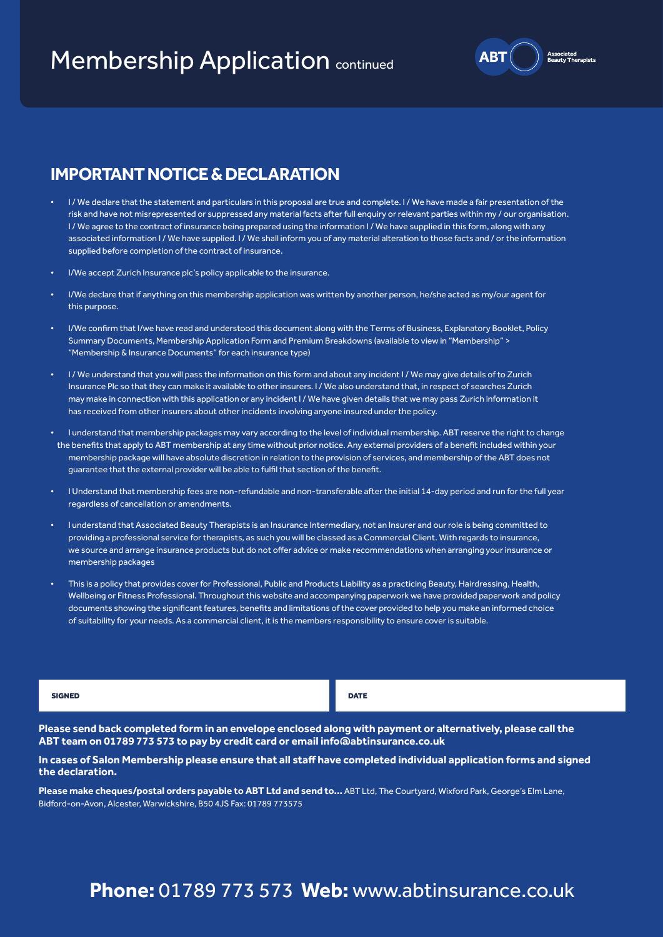# **Membership Application continued**

# **IMPORTANT NOTICE & DECLARATION**

- I/We declare that the statement and particulars in this proposal are true and complete. I/We have made a fair presentation of the risk and have not misrepresented or suppressed any material facts after full enquiry or relevant parties within my / our organisation. I / We agree to the contract of insurance being prepared using the information I / We have supplied in this form, along with any associated information I / We have supplied. I / We shall inform you of any material alteration to those facts and / or the information supplied before completion of the contract of insurance.
- I/We accept Zurich Insurance plc's policy applicable to the insurance.
- I/We declare that if anything on this membership application was written by another person, he/she acted as my/our agent for this purpose.
- I/We confirm that I/we have read and understood this document along with the Terms of Business, Explanatory Booklet, Policy Summary Documents, Membership Application Form and Premium Breakdowns (available to view in "Membership" > "Membership & Insurance Documents" for each insurance type)
- I / We understand that you will pass the information on this form and about any incident I / We may give details of to Zurich Insurance Plc so that they can make it available to other insurers. I / We also understand that, in respect of searches Zurich may make in connection with this application or any incident I / We have given details that we may pass Zurich information it has received from other insurers about other incidents involving anyone insured under the policy.
- I understand that membership packages may vary according to the level of individual membership. ABT reserve the right to change the benefits that apply to ABT membership at any time without prior notice. Any external providers of a benefit included within your membership package will have absolute discretion in relation to the provision of services, and membership of the ABT does not guarantee that the external provider will be able to fulfil that section of the benefit.
- I Understand that membership fees are non-refundable and non-transferable after the initial 14-day period and run for the full year regardless of cancellation or amendments.
- I understand that Associated Beauty Therapists is an Insurance Intermediary, not an Insurer and our role is being committed to providing a professional service for therapists, as such you will be classed as a Commercial Client. With regards to insurance, we source and arrange insurance products but do not offer advice or make recommendations when arranging your insurance or membership packages
- This is a policy that provides cover for Professional, Public and Products Liability as a practicing Beauty, Hairdressing, Health, Wellbeing or Fitness Professional. Throughout this website and accompanying paperwork we have provided paperwork and policy documents showing the significant features, benefits and limitations of the cover provided to help you make an informed choice of suitability for your needs. As a commercial client, it is the members responsibility to ensure cover is suitable.

SIGNED DATE OF A SERIES OF A SERIES OF A SERIES OF A SERIES OF A SERIES OF A SERIES OF A SERIES OF A SERIES OF

**Please send back completed form in an envelope enclosed along with payment or alternatively, please call the ABT team on 01789 773 573 to pay by credit card or email info@abtinsurance.co.uk**

#### **In cases of Salon Membership please ensure that all staff have completed individual application forms and signed the declaration.**

**Please make cheques/postal orders payable to ABT Ltd and send to...** ABT Ltd, The Courtyard, Wixford Park, George's Elm Lane, Bidford-on-Avon, Alcester, Warwickshire, B50 4JS Fax: 01789 773575

# **Phone:** 01789 773 573 **Web:** www.abtinsurance.co.uk